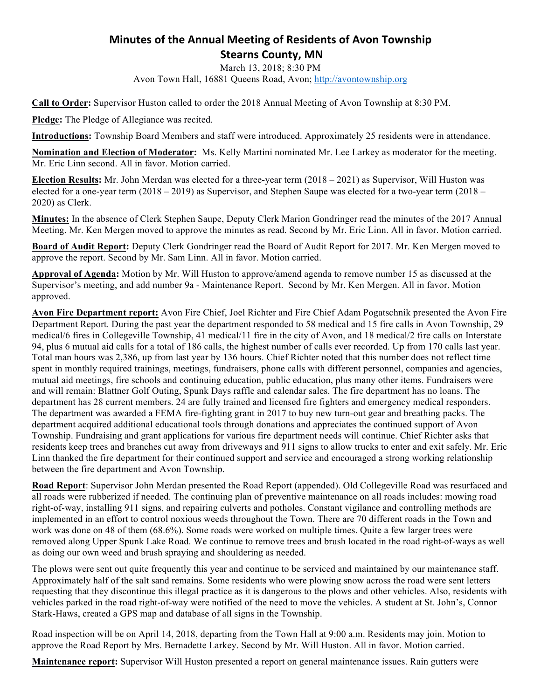## **Minutes of the Annual Meeting of Residents of Avon Township Stearns County, MN**

March 13, 2018; 8:30 PM

Avon Town Hall, 16881 Queens Road, Avon; http://avontownship.org

**Call to Order:** Supervisor Huston called to order the 2018 Annual Meeting of Avon Township at 8:30 PM.

**Pledge:** The Pledge of Allegiance was recited.

**Introductions:** Township Board Members and staff were introduced. Approximately 25 residents were in attendance.

**Nomination and Election of Moderator:** Ms. Kelly Martini nominated Mr. Lee Larkey as moderator for the meeting. Mr. Eric Linn second. All in favor. Motion carried.

**Election Results:** Mr. John Merdan was elected for a three-year term (2018 – 2021) as Supervisor, Will Huston was elected for a one-year term (2018 – 2019) as Supervisor, and Stephen Saupe was elected for a two-year term (2018 – 2020) as Clerk.

**Minutes:** In the absence of Clerk Stephen Saupe, Deputy Clerk Marion Gondringer read the minutes of the 2017 Annual Meeting. Mr. Ken Mergen moved to approve the minutes as read. Second by Mr. Eric Linn. All in favor. Motion carried.

**Board of Audit Report:** Deputy Clerk Gondringer read the Board of Audit Report for 2017. Mr. Ken Mergen moved to approve the report. Second by Mr. Sam Linn. All in favor. Motion carried.

**Approval of Agenda:** Motion by Mr. Will Huston to approve/amend agenda to remove number 15 as discussed at the Supervisor's meeting, and add number 9a - Maintenance Report. Second by Mr. Ken Mergen. All in favor. Motion approved.

**Avon Fire Department report:** Avon Fire Chief, Joel Richter and Fire Chief Adam Pogatschnik presented the Avon Fire Department Report. During the past year the department responded to 58 medical and 15 fire calls in Avon Township, 29 medical/6 fires in Collegeville Township, 41 medical/11 fire in the city of Avon, and 18 medical/2 fire calls on Interstate 94, plus 6 mutual aid calls for a total of 186 calls, the highest number of calls ever recorded. Up from 170 calls last year. Total man hours was 2,386, up from last year by 136 hours. Chief Richter noted that this number does not reflect time spent in monthly required trainings, meetings, fundraisers, phone calls with different personnel, companies and agencies, mutual aid meetings, fire schools and continuing education, public education, plus many other items. Fundraisers were and will remain: Blattner Golf Outing, Spunk Days raffle and calendar sales. The fire department has no loans. The department has 28 current members. 24 are fully trained and licensed fire fighters and emergency medical responders. The department was awarded a FEMA fire-fighting grant in 2017 to buy new turn-out gear and breathing packs. The department acquired additional educational tools through donations and appreciates the continued support of Avon Township. Fundraising and grant applications for various fire department needs will continue. Chief Richter asks that residents keep trees and branches cut away from driveways and 911 signs to allow trucks to enter and exit safely. Mr. Eric Linn thanked the fire department for their continued support and service and encouraged a strong working relationship between the fire department and Avon Township.

**Road Report**: Supervisor John Merdan presented the Road Report (appended). Old Collegeville Road was resurfaced and all roads were rubberized if needed. The continuing plan of preventive maintenance on all roads includes: mowing road right-of-way, installing 911 signs, and repairing culverts and potholes. Constant vigilance and controlling methods are implemented in an effort to control noxious weeds throughout the Town. There are 70 different roads in the Town and work was done on 48 of them (68.6%). Some roads were worked on multiple times. Quite a few larger trees were removed along Upper Spunk Lake Road. We continue to remove trees and brush located in the road right-of-ways as well as doing our own weed and brush spraying and shouldering as needed.

The plows were sent out quite frequently this year and continue to be serviced and maintained by our maintenance staff. Approximately half of the salt sand remains. Some residents who were plowing snow across the road were sent letters requesting that they discontinue this illegal practice as it is dangerous to the plows and other vehicles. Also, residents with vehicles parked in the road right-of-way were notified of the need to move the vehicles. A student at St. John's, Connor Stark-Haws, created a GPS map and database of all signs in the Township.

Road inspection will be on April 14, 2018, departing from the Town Hall at 9:00 a.m. Residents may join. Motion to approve the Road Report by Mrs. Bernadette Larkey. Second by Mr. Will Huston. All in favor. Motion carried.

**Maintenance report:** Supervisor Will Huston presented a report on general maintenance issues. Rain gutters were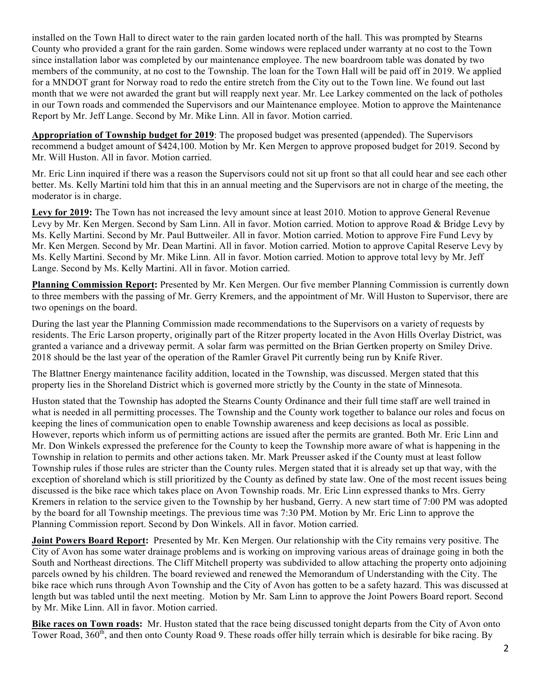installed on the Town Hall to direct water to the rain garden located north of the hall. This was prompted by Stearns County who provided a grant for the rain garden. Some windows were replaced under warranty at no cost to the Town since installation labor was completed by our maintenance employee. The new boardroom table was donated by two members of the community, at no cost to the Township. The loan for the Town Hall will be paid off in 2019. We applied for a MNDOT grant for Norway road to redo the entire stretch from the City out to the Town line. We found out last month that we were not awarded the grant but will reapply next year. Mr. Lee Larkey commented on the lack of potholes in our Town roads and commended the Supervisors and our Maintenance employee. Motion to approve the Maintenance Report by Mr. Jeff Lange. Second by Mr. Mike Linn. All in favor. Motion carried.

**Appropriation of Township budget for 2019**: The proposed budget was presented (appended). The Supervisors recommend a budget amount of \$424,100. Motion by Mr. Ken Mergen to approve proposed budget for 2019. Second by Mr. Will Huston. All in favor. Motion carried.

Mr. Eric Linn inquired if there was a reason the Supervisors could not sit up front so that all could hear and see each other better. Ms. Kelly Martini told him that this in an annual meeting and the Supervisors are not in charge of the meeting, the moderator is in charge.

**Levy for 2019:** The Town has not increased the levy amount since at least 2010. Motion to approve General Revenue Levy by Mr. Ken Mergen. Second by Sam Linn. All in favor. Motion carried. Motion to approve Road & Bridge Levy by Ms. Kelly Martini. Second by Mr. Paul Buttweiler. All in favor. Motion carried. Motion to approve Fire Fund Levy by Mr. Ken Mergen. Second by Mr. Dean Martini. All in favor. Motion carried. Motion to approve Capital Reserve Levy by Ms. Kelly Martini. Second by Mr. Mike Linn. All in favor. Motion carried. Motion to approve total levy by Mr. Jeff Lange. Second by Ms. Kelly Martini. All in favor. Motion carried.

**Planning Commission Report:** Presented by Mr. Ken Mergen. Our five member Planning Commission is currently down to three members with the passing of Mr. Gerry Kremers, and the appointment of Mr. Will Huston to Supervisor, there are two openings on the board.

During the last year the Planning Commission made recommendations to the Supervisors on a variety of requests by residents. The Eric Larson property, originally part of the Ritzer property located in the Avon Hills Overlay District, was granted a variance and a driveway permit. A solar farm was permitted on the Brian Gertken property on Smiley Drive. 2018 should be the last year of the operation of the Ramler Gravel Pit currently being run by Knife River.

The Blattner Energy maintenance facility addition, located in the Township, was discussed. Mergen stated that this property lies in the Shoreland District which is governed more strictly by the County in the state of Minnesota.

Huston stated that the Township has adopted the Stearns County Ordinance and their full time staff are well trained in what is needed in all permitting processes. The Township and the County work together to balance our roles and focus on keeping the lines of communication open to enable Township awareness and keep decisions as local as possible. However, reports which inform us of permitting actions are issued after the permits are granted. Both Mr. Eric Linn and Mr. Don Winkels expressed the preference for the County to keep the Township more aware of what is happening in the Township in relation to permits and other actions taken. Mr. Mark Preusser asked if the County must at least follow Township rules if those rules are stricter than the County rules. Mergen stated that it is already set up that way, with the exception of shoreland which is still prioritized by the County as defined by state law. One of the most recent issues being discussed is the bike race which takes place on Avon Township roads. Mr. Eric Linn expressed thanks to Mrs. Gerry Kremers in relation to the service given to the Township by her husband, Gerry. A new start time of 7:00 PM was adopted by the board for all Township meetings. The previous time was 7:30 PM. Motion by Mr. Eric Linn to approve the Planning Commission report. Second by Don Winkels. All in favor. Motion carried.

**Joint Powers Board Report:** Presented by Mr. Ken Mergen. Our relationship with the City remains very positive. The City of Avon has some water drainage problems and is working on improving various areas of drainage going in both the South and Northeast directions. The Cliff Mitchell property was subdivided to allow attaching the property onto adjoining parcels owned by his children. The board reviewed and renewed the Memorandum of Understanding with the City. The bike race which runs through Avon Township and the City of Avon has gotten to be a safety hazard. This was discussed at length but was tabled until the next meeting. Motion by Mr. Sam Linn to approve the Joint Powers Board report. Second by Mr. Mike Linn. All in favor. Motion carried.

**Bike races on Town roads:** Mr. Huston stated that the race being discussed tonight departs from the City of Avon onto Tower Road,  $360<sup>th</sup>$ , and then onto County Road 9. These roads offer hilly terrain which is desirable for bike racing. By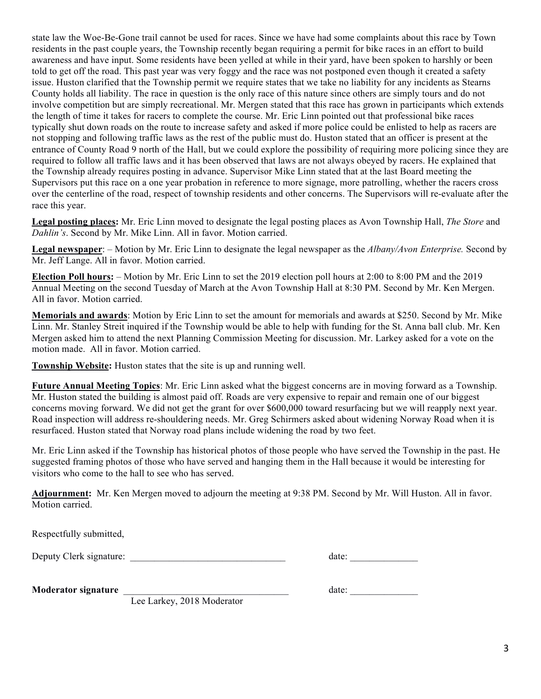state law the Woe-Be-Gone trail cannot be used for races. Since we have had some complaints about this race by Town residents in the past couple years, the Township recently began requiring a permit for bike races in an effort to build awareness and have input. Some residents have been yelled at while in their yard, have been spoken to harshly or been told to get off the road. This past year was very foggy and the race was not postponed even though it created a safety issue. Huston clarified that the Township permit we require states that we take no liability for any incidents as Stearns County holds all liability. The race in question is the only race of this nature since others are simply tours and do not involve competition but are simply recreational. Mr. Mergen stated that this race has grown in participants which extends the length of time it takes for racers to complete the course. Mr. Eric Linn pointed out that professional bike races typically shut down roads on the route to increase safety and asked if more police could be enlisted to help as racers are not stopping and following traffic laws as the rest of the public must do. Huston stated that an officer is present at the entrance of County Road 9 north of the Hall, but we could explore the possibility of requiring more policing since they are required to follow all traffic laws and it has been observed that laws are not always obeyed by racers. He explained that the Township already requires posting in advance. Supervisor Mike Linn stated that at the last Board meeting the Supervisors put this race on a one year probation in reference to more signage, more patrolling, whether the racers cross over the centerline of the road, respect of township residents and other concerns. The Supervisors will re-evaluate after the race this year.

**Legal posting places:** Mr. Eric Linn moved to designate the legal posting places as Avon Township Hall, *The Store* and *Dahlin's*. Second by Mr. Mike Linn. All in favor. Motion carried.

**Legal newspaper**: – Motion by Mr. Eric Linn to designate the legal newspaper as the *Albany/Avon Enterprise.* Second by Mr. Jeff Lange. All in favor. Motion carried.

**Election Poll hours:** – Motion by Mr. Eric Linn to set the 2019 election poll hours at 2:00 to 8:00 PM and the 2019 Annual Meeting on the second Tuesday of March at the Avon Township Hall at 8:30 PM. Second by Mr. Ken Mergen. All in favor. Motion carried.

**Memorials and awards**: Motion by Eric Linn to set the amount for memorials and awards at \$250. Second by Mr. Mike Linn. Mr. Stanley Streit inquired if the Township would be able to help with funding for the St. Anna ball club. Mr. Ken Mergen asked him to attend the next Planning Commission Meeting for discussion. Mr. Larkey asked for a vote on the motion made. All in favor. Motion carried.

**Township Website:** Huston states that the site is up and running well.

**Future Annual Meeting Topics**: Mr. Eric Linn asked what the biggest concerns are in moving forward as a Township. Mr. Huston stated the building is almost paid off. Roads are very expensive to repair and remain one of our biggest concerns moving forward. We did not get the grant for over \$600,000 toward resurfacing but we will reapply next year. Road inspection will address re-shouldering needs. Mr. Greg Schirmers asked about widening Norway Road when it is resurfaced. Huston stated that Norway road plans include widening the road by two feet.

Mr. Eric Linn asked if the Township has historical photos of those people who have served the Township in the past. He suggested framing photos of those who have served and hanging them in the Hall because it would be interesting for visitors who come to the hall to see who has served.

**Adjournment:** Mr. Ken Mergen moved to adjourn the meeting at 9:38 PM. Second by Mr. Will Huston. All in favor. Motion carried.

Respectfully submitted,

Deputy Clerk signature: \_\_\_\_\_\_\_\_\_\_\_\_\_\_\_\_\_\_\_\_\_\_\_\_\_\_\_\_\_\_\_\_ date: \_\_\_\_\_\_\_\_\_\_\_\_\_\_

**Moderator signature** \_\_\_\_\_\_\_\_\_\_\_\_\_\_\_\_\_\_\_\_\_\_\_\_\_\_\_\_\_\_\_\_\_\_ date: \_\_\_\_\_\_\_\_\_\_\_\_\_\_

Lee Larkey, 2018 Moderator